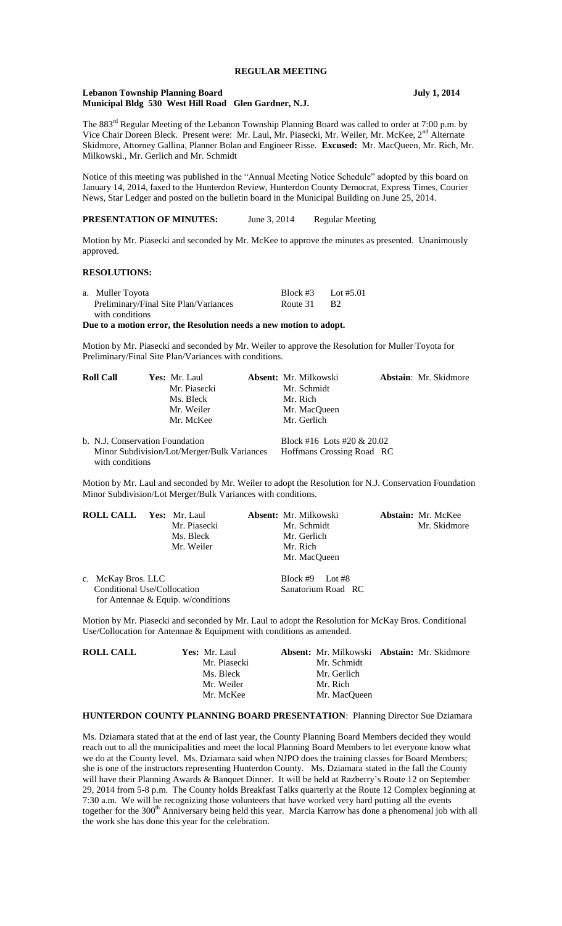## **REGULAR MEETING**

#### **Lebanon Township Planning Board July 1, 2014 Municipal Bldg 530 West Hill Road Glen Gardner, N.J.**

The 883<sup>rd</sup> Regular Meeting of the Lebanon Township Planning Board was called to order at 7:00 p.m. by Vice Chair Doreen Bleck. Present were: Mr. Laul, Mr. Piasecki, Mr. Weiler, Mr. McKee, 2<sup>nd</sup> Alternate Skidmore, Attorney Gallina, Planner Bolan and Engineer Risse. **Excused:** Mr. MacQueen, Mr. Rich, Mr. Milkowski., Mr. Gerlich and Mr. Schmidt

Notice of this meeting was published in the "Annual Meeting Notice Schedule" adopted by this board on January 14, 2014, faxed to the Hunterdon Review, Hunterdon County Democrat, Express Times, Courier News, Star Ledger and posted on the bulletin board in the Municipal Building on June 25, 2014.

**PRESENTATION OF MINUTES:** June 3, 2014 Regular Meeting

Motion by Mr. Piasecki and seconded by Mr. McKee to approve the minutes as presented. Unanimously approved.

## **RESOLUTIONS:**

| a. Muller Toyota                      | Block #3 | Lot #5.01 |
|---------------------------------------|----------|-----------|
| Preliminary/Final Site Plan/Variances | Route 31 | - B2      |
| with conditions                       |          |           |

**Due to a motion error, the Resolution needs a new motion to adopt.**

Motion by Mr. Piasecki and seconded by Mr. Weiler to approve the Resolution for Muller Toyota for Preliminary/Final Site Plan/Variances with conditions.

| <b>Roll Call</b>                                               | Yes: Mr. Laul |  | <b>Absent:</b> Mr. Milkowski | Abstain: Mr. Skidmore |
|----------------------------------------------------------------|---------------|--|------------------------------|-----------------------|
|                                                                | Mr. Piasecki  |  | Mr. Schmidt                  |                       |
|                                                                | Ms. Bleck     |  | Mr. Rich                     |                       |
|                                                                | Mr. Weiler    |  | Mr. MacOueen                 |                       |
|                                                                | Mr. McKee     |  | Mr. Gerlich                  |                       |
| b. N.J. Conservation Foundation                                |               |  | Block #16 Lots #20 & 20.02   |                       |
| Minor Subdivision/Lot/Merger/Bulk Variances<br>with conditions |               |  | Hoffmans Crossing Road RC    |                       |

Motion by Mr. Laul and seconded by Mr. Weiler to adopt the Resolution for N.J. Conservation Foundation Minor Subdivision/Lot Merger/Bulk Variances with conditions.

| <b>ROLL CALL Yes: Mr. Laul</b> | Mr. Piasecki<br>Ms. Bleck                                            | <b>Absent:</b> Mr. Milkowski<br>Mr. Schmidt<br>Mr. Gerlich | <b>Abstain:</b> Mr. McKee<br>Mr. Skidmore |
|--------------------------------|----------------------------------------------------------------------|------------------------------------------------------------|-------------------------------------------|
|                                | Mr. Weiler                                                           | Mr. Rich<br>Mr. MacOueen                                   |                                           |
| c. McKay Bros. LLC             | Conditional Use/Collocation<br>for Antennae & Equip. $w$ /conditions | Block #9 Lot #8<br>Sanatorium Road RC                      |                                           |

Motion by Mr. Piasecki and seconded by Mr. Laul to adopt the Resolution for McKay Bros. Conditional Use/Collocation for Antennae & Equipment with conditions as amended.

| Yes: Mr. Laul |  |                                                        |                                                           |
|---------------|--|--------------------------------------------------------|-----------------------------------------------------------|
| Mr. Piasecki  |  |                                                        |                                                           |
| Ms. Bleck     |  |                                                        |                                                           |
| Mr. Weiler    |  |                                                        |                                                           |
| Mr. McKee     |  |                                                        |                                                           |
|               |  | Mr. Schmidt<br>Mr. Gerlich<br>Mr. Rich<br>Mr. MacOueen | <b>Absent:</b> Mr. Milkowski <b>Abstain:</b> Mr. Skidmore |

#### **HUNTERDON COUNTY PLANNING BOARD PRESENTATION**: Planning Director Sue Dziamara

Ms. Dziamara stated that at the end of last year, the County Planning Board Members decided they would reach out to all the municipalities and meet the local Planning Board Members to let everyone know what we do at the County level. Ms. Dziamara said when NJPO does the training classes for Board Members; she is one of the instructors representing Hunterdon County. Ms. Dziamara stated in the fall the County will have their Planning Awards & Banquet Dinner. It will be held at Razberry's Route 12 on September 29, 2014 from 5-8 p.m. The County holds Breakfast Talks quarterly at the Route 12 Complex beginning at 7:30 a.m. We will be recognizing those volunteers that have worked very hard putting all the events together for the 300<sup>th</sup> Anniversary being held this year. Marcia Karrow has done a phenomenal job with all the work she has done this year for the celebration.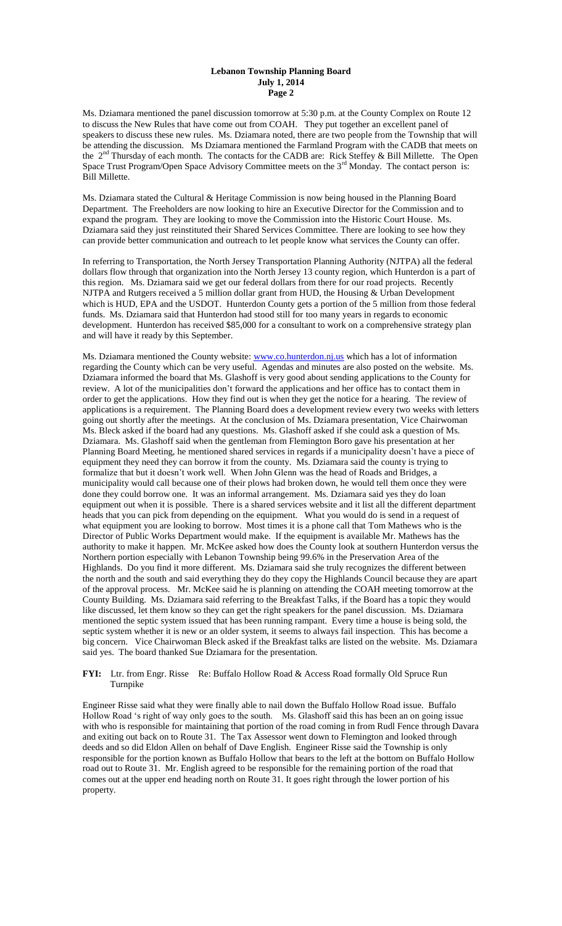#### **Lebanon Township Planning Board July 1, 2014 Page 2**

Ms. Dziamara mentioned the panel discussion tomorrow at 5:30 p.m. at the County Complex on Route 12 to discuss the New Rules that have come out from COAH. They put together an excellent panel of speakers to discuss these new rules. Ms. Dziamara noted, there are two people from the Township that will be attending the discussion. Ms Dziamara mentioned the Farmland Program with the CADB that meets on the 2<sup>nd</sup> Thursday of each month. The contacts for the CADB are: Rick Steffey & Bill Millette. The Open Space Trust Program/Open Space Advisory Committee meets on the 3<sup>rd</sup> Monday. The contact person is: Bill Millette.

Ms. Dziamara stated the Cultural & Heritage Commission is now being housed in the Planning Board Department. The Freeholders are now looking to hire an Executive Director for the Commission and to expand the program. They are looking to move the Commission into the Historic Court House. Ms. Dziamara said they just reinstituted their Shared Services Committee. There are looking to see how they can provide better communication and outreach to let people know what services the County can offer.

In referring to Transportation, the North Jersey Transportation Planning Authority (NJTPA) all the federal dollars flow through that organization into the North Jersey 13 county region, which Hunterdon is a part of this region. Ms. Dziamara said we get our federal dollars from there for our road projects. Recently NJTPA and Rutgers received a 5 million dollar grant from HUD, the Housing & Urban Development which is HUD, EPA and the USDOT. Hunterdon County gets a portion of the 5 million from those federal funds. Ms. Dziamara said that Hunterdon had stood still for too many years in regards to economic development. Hunterdon has received \$85,000 for a consultant to work on a comprehensive strategy plan and will have it ready by this September.

Ms. Dziamara mentioned the County website: [www.co.hunterdon.nj.us](http://www.co.hunterdon.nj.us/) which has a lot of information regarding the County which can be very useful. Agendas and minutes are also posted on the website. Ms. Dziamara informed the board that Ms. Glashoff is very good about sending applications to the County for review. A lot of the municipalities don't forward the applications and her office has to contact them in order to get the applications. How they find out is when they get the notice for a hearing. The review of applications is a requirement. The Planning Board does a development review every two weeks with letters going out shortly after the meetings. At the conclusion of Ms. Dziamara presentation, Vice Chairwoman Ms. Bleck asked if the board had any questions. Ms. Glashoff asked if she could ask a question of Ms. Dziamara. Ms. Glashoff said when the gentleman from Flemington Boro gave his presentation at her Planning Board Meeting, he mentioned shared services in regards if a municipality doesn't have a piece of equipment they need they can borrow it from the county. Ms. Dziamara said the county is trying to formalize that but it doesn't work well. When John Glenn was the head of Roads and Bridges, a municipality would call because one of their plows had broken down, he would tell them once they were done they could borrow one. It was an informal arrangement. Ms. Dziamara said yes they do loan equipment out when it is possible. There is a shared services website and it list all the different department heads that you can pick from depending on the equipment. What you would do is send in a request of what equipment you are looking to borrow. Most times it is a phone call that Tom Mathews who is the Director of Public Works Department would make. If the equipment is available Mr. Mathews has the authority to make it happen. Mr. McKee asked how does the County look at southern Hunterdon versus the Northern portion especially with Lebanon Township being 99.6% in the Preservation Area of the Highlands. Do you find it more different. Ms. Dziamara said she truly recognizes the different between the north and the south and said everything they do they copy the Highlands Council because they are apart of the approval process. Mr. McKee said he is planning on attending the COAH meeting tomorrow at the County Building. Ms. Dziamara said referring to the Breakfast Talks, if the Board has a topic they would like discussed, let them know so they can get the right speakers for the panel discussion. Ms. Dziamara mentioned the septic system issued that has been running rampant. Every time a house is being sold, the septic system whether it is new or an older system, it seems to always fail inspection. This has become a big concern. Vice Chairwoman Bleck asked if the Breakfast talks are listed on the website. Ms. Dziamara said yes. The board thanked Sue Dziamara for the presentation.

#### **FYI:** Ltr. from Engr. Risse Re: Buffalo Hollow Road & Access Road formally Old Spruce Run Turnpike

Engineer Risse said what they were finally able to nail down the Buffalo Hollow Road issue. Buffalo Hollow Road 's right of way only goes to the south. Ms. Glashoff said this has been an on going issue with who is responsible for maintaining that portion of the road coming in from Rudl Fence through Davara and exiting out back on to Route 31. The Tax Assessor went down to Flemington and looked through deeds and so did Eldon Allen on behalf of Dave English. Engineer Risse said the Township is only responsible for the portion known as Buffalo Hollow that bears to the left at the bottom on Buffalo Hollow road out to Route 31. Mr. English agreed to be responsible for the remaining portion of the road that comes out at the upper end heading north on Route 31. It goes right through the lower portion of his property.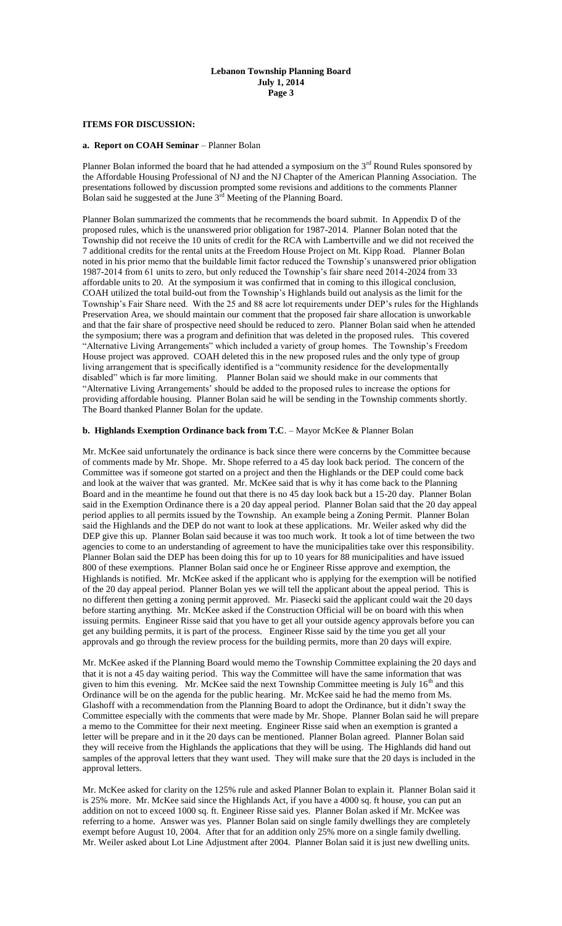#### **Lebanon Township Planning Board July 1, 2014 Page 3**

## **ITEMS FOR DISCUSSION:**

## **a. Report on COAH Seminar** – Planner Bolan

Planner Bolan informed the board that he had attended a symposium on the  $3<sup>rd</sup>$  Round Rules sponsored by the Affordable Housing Professional of NJ and the NJ Chapter of the American Planning Association. The presentations followed by discussion prompted some revisions and additions to the comments Planner Bolan said he suggested at the June  $3<sup>rd</sup>$  Meeting of the Planning Board.

Planner Bolan summarized the comments that he recommends the board submit. In Appendix D of the proposed rules, which is the unanswered prior obligation for 1987-2014. Planner Bolan noted that the Township did not receive the 10 units of credit for the RCA with Lambertville and we did not received the 7 additional credits for the rental units at the Freedom House Project on Mt. Kipp Road. Planner Bolan noted in his prior memo that the buildable limit factor reduced the Township's unanswered prior obligation 1987-2014 from 61 units to zero, but only reduced the Township's fair share need 2014-2024 from 33 affordable units to 20. At the symposium it was confirmed that in coming to this illogical conclusion, COAH utilized the total build-out from the Township's Highlands build out analysis as the limit for the Township's Fair Share need. With the 25 and 88 acre lot requirements under DEP's rules for the Highlands Preservation Area, we should maintain our comment that the proposed fair share allocation is unworkable and that the fair share of prospective need should be reduced to zero. Planner Bolan said when he attended the symposium; there was a program and definition that was deleted in the proposed rules. This covered "Alternative Living Arrangements" which included a variety of group homes. The Township's Freedom House project was approved. COAH deleted this in the new proposed rules and the only type of group living arrangement that is specifically identified is a "community residence for the developmentally disabled" which is far more limiting. Planner Bolan said we should make in our comments that "Alternative Living Arrangements' should be added to the proposed rules to increase the options for providing affordable housing. Planner Bolan said he will be sending in the Township comments shortly. The Board thanked Planner Bolan for the update.

## **b. Highlands Exemption Ordinance back from T.C**. – Mayor McKee & Planner Bolan

Mr. McKee said unfortunately the ordinance is back since there were concerns by the Committee because of comments made by Mr. Shope. Mr. Shope referred to a 45 day look back period. The concern of the Committee was if someone got started on a project and then the Highlands or the DEP could come back and look at the waiver that was granted. Mr. McKee said that is why it has come back to the Planning Board and in the meantime he found out that there is no 45 day look back but a 15-20 day. Planner Bolan said in the Exemption Ordinance there is a 20 day appeal period. Planner Bolan said that the 20 day appeal period applies to all permits issued by the Township. An example being a Zoning Permit. Planner Bolan said the Highlands and the DEP do not want to look at these applications. Mr. Weiler asked why did the DEP give this up. Planner Bolan said because it was too much work. It took a lot of time between the two agencies to come to an understanding of agreement to have the municipalities take over this responsibility. Planner Bolan said the DEP has been doing this for up to 10 years for 88 municipalities and have issued 800 of these exemptions. Planner Bolan said once he or Engineer Risse approve and exemption, the Highlands is notified. Mr. McKee asked if the applicant who is applying for the exemption will be notified of the 20 day appeal period. Planner Bolan yes we will tell the applicant about the appeal period. This is no different then getting a zoning permit approved. Mr. Piasecki said the applicant could wait the 20 days before starting anything. Mr. McKee asked if the Construction Official will be on board with this when issuing permits. Engineer Risse said that you have to get all your outside agency approvals before you can get any building permits, it is part of the process. Engineer Risse said by the time you get all your approvals and go through the review process for the building permits, more than 20 days will expire.

Mr. McKee asked if the Planning Board would memo the Township Committee explaining the 20 days and that it is not a 45 day waiting period. This way the Committee will have the same information that was given to him this evening. Mr. McKee said the next Township Committee meeting is July  $16<sup>th</sup>$  and this Ordinance will be on the agenda for the public hearing. Mr. McKee said he had the memo from Ms. Glashoff with a recommendation from the Planning Board to adopt the Ordinance, but it didn't sway the Committee especially with the comments that were made by Mr. Shope. Planner Bolan said he will prepare a memo to the Committee for their next meeting. Engineer Risse said when an exemption is granted a letter will be prepare and in it the 20 days can be mentioned. Planner Bolan agreed. Planner Bolan said they will receive from the Highlands the applications that they will be using. The Highlands did hand out samples of the approval letters that they want used. They will make sure that the 20 days is included in the approval letters.

Mr. McKee asked for clarity on the 125% rule and asked Planner Bolan to explain it. Planner Bolan said it is 25% more. Mr. McKee said since the Highlands Act, if you have a 4000 sq. ft house, you can put an addition on not to exceed 1000 sq. ft. Engineer Risse said yes. Planner Bolan asked if Mr. McKee was referring to a home. Answer was yes. Planner Bolan said on single family dwellings they are completely exempt before August 10, 2004. After that for an addition only 25% more on a single family dwelling. Mr. Weiler asked about Lot Line Adjustment after 2004. Planner Bolan said it is just new dwelling units.